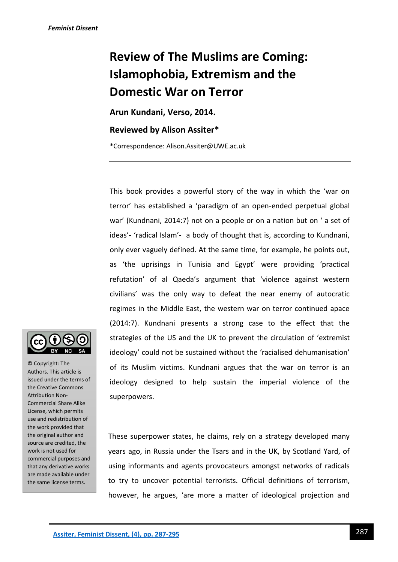# **Review of The Muslims are Coming: Islamophobia, Extremism and the Domestic War on Terror**

**Arun Kundani, Verso, 2014.**

## **Reviewed by Alison Assiter\***

\*Correspondence: Alison.Assiter@UWE.ac.uk

This book provides a powerful story of the way in which the 'war on terror' has established a 'paradigm of an open-ended perpetual global war' (Kundnani, 2014:7) not on a people or on a nation but on ' a set of ideas'- 'radical Islam'- a body of thought that is, according to Kundnani, only ever vaguely defined. At the same time, for example, he points out, as 'the uprisings in Tunisia and Egypt' were providing 'practical refutation' of al Qaeda's argument that 'violence against western civilians' was the only way to defeat the near enemy of autocratic regimes in the Middle East, the western war on terror continued apace (2014:7). Kundnani presents a strong case to the effect that the strategies of the US and the UK to prevent the circulation of 'extremist ideology' could not be sustained without the 'racialised dehumanisation' of its Muslim victims. Kundnani argues that the war on terror is an ideology designed to help sustain the imperial violence of the superpowers.

These superpower states, he claims, rely on a strategy developed many years ago, in Russia under the Tsars and in the UK, by Scotland Yard, of using informants and agents provocateurs amongst networks of radicals to try to uncover potential terrorists. Official definitions of terrorism, however, he argues, 'are more a matter of ideological projection and



© Copyright: The Authors. This article is issued under the terms of the Creative Commons Attribution Non-Commercial Share Alike License, which permits use and redistribution of the work provided that the original author and source are credited, the work is not used for commercial purposes and that any derivative works are made available under the same license terms.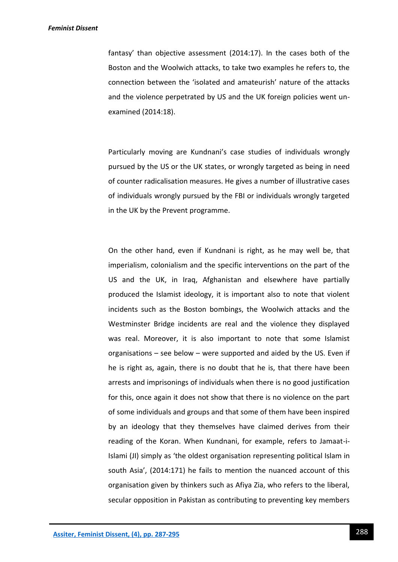fantasy' than objective assessment (2014:17). In the cases both of the Boston and the Woolwich attacks, to take two examples he refers to, the connection between the 'isolated and amateurish' nature of the attacks and the violence perpetrated by US and the UK foreign policies went unexamined (2014:18).

Particularly moving are Kundnani's case studies of individuals wrongly pursued by the US or the UK states, or wrongly targeted as being in need of counter radicalisation measures. He gives a number of illustrative cases of individuals wrongly pursued by the FBI or individuals wrongly targeted in the UK by the Prevent programme.

On the other hand, even if Kundnani is right, as he may well be, that imperialism, colonialism and the specific interventions on the part of the US and the UK, in Iraq, Afghanistan and elsewhere have partially produced the Islamist ideology, it is important also to note that violent incidents such as the Boston bombings, the Woolwich attacks and the Westminster Bridge incidents are real and the violence they displayed was real. Moreover, it is also important to note that some Islamist organisations – see below – were supported and aided by the US. Even if he is right as, again, there is no doubt that he is, that there have been arrests and imprisonings of individuals when there is no good justification for this, once again it does not show that there is no violence on the part of some individuals and groups and that some of them have been inspired by an ideology that they themselves have claimed derives from their reading of the Koran. When Kundnani, for example, refers to Jamaat-i-Islami (JI) simply as 'the oldest organisation representing political Islam in south Asia', (2014:171) he fails to mention the nuanced account of this organisation given by thinkers such as Afiya Zia, who refers to the liberal, secular opposition in Pakistan as contributing to preventing key members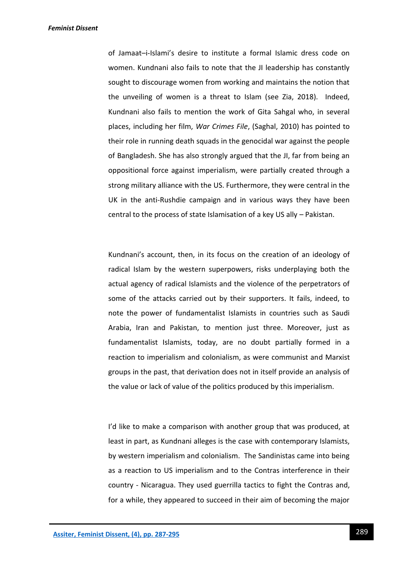of Jamaat–i-Islami's desire to institute a formal Islamic dress code on women. Kundnani also fails to note that the JI leadership has constantly sought to discourage women from working and maintains the notion that the unveiling of women is a threat to Islam (see Zia, 2018). Indeed, Kundnani also fails to mention the work of Gita Sahgal who, in several places, including her film, *War Crimes File*, (Saghal, 2010) has pointed to their role in running death squads in the genocidal war against the people of Bangladesh. She has also strongly argued that the JI, far from being an oppositional force against imperialism, were partially created through a strong military alliance with the US. Furthermore, they were central in the UK in the anti-Rushdie campaign and in various ways they have been central to the process of state Islamisation of a key US ally – Pakistan.

Kundnani's account, then, in its focus on the creation of an ideology of radical Islam by the western superpowers, risks underplaying both the actual agency of radical Islamists and the violence of the perpetrators of some of the attacks carried out by their supporters. It fails, indeed, to note the power of fundamentalist Islamists in countries such as Saudi Arabia, Iran and Pakistan, to mention just three. Moreover, just as fundamentalist Islamists, today, are no doubt partially formed in a reaction to imperialism and colonialism, as were communist and Marxist groups in the past, that derivation does not in itself provide an analysis of the value or lack of value of the politics produced by this imperialism.

I'd like to make a comparison with another group that was produced, at least in part, as Kundnani alleges is the case with contemporary Islamists, by western imperialism and colonialism. The Sandinistas came into being as a reaction to US imperialism and to the Contras interference in their country - Nicaragua. They used guerrilla tactics to fight the Contras and, for a while, they appeared to succeed in their aim of becoming the major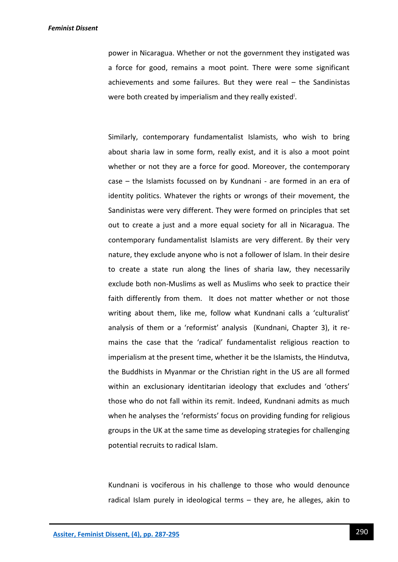power in Nicaragua. Whether or not the government they instigated was a force for good, remains a moot point. There were some significant achievements and some failures. But they were real – the Sandinistas were both created by imperialism and they really existed<sup>i</sup>.

Similarly, contemporary fundamentalist Islamists, who wish to bring about sharia law in some form, really exist, and it is also a moot point whether or not they are a force for good. Moreover, the contemporary case – the Islamists focussed on by Kundnani - are formed in an era of identity politics. Whatever the rights or wrongs of their movement, the Sandinistas were very different. They were formed on principles that set out to create a just and a more equal society for all in Nicaragua. The contemporary fundamentalist Islamists are very different. By their very nature, they exclude anyone who is not a follower of Islam. In their desire to create a state run along the lines of sharia law, they necessarily exclude both non-Muslims as well as Muslims who seek to practice their faith differently from them. It does not matter whether or not those writing about them, like me, follow what Kundnani calls a 'culturalist' analysis of them or a 'reformist' analysis (Kundnani, Chapter 3), it remains the case that the 'radical' fundamentalist religious reaction to imperialism at the present time, whether it be the Islamists, the Hindutva, the Buddhists in Myanmar or the Christian right in the US are all formed within an exclusionary identitarian ideology that excludes and 'others' those who do not fall within its remit. Indeed, Kundnani admits as much when he analyses the 'reformists' focus on providing funding for religious groups in the UK at the same time as developing strategies for challenging potential recruits to radical Islam.

Kundnani is vociferous in his challenge to those who would denounce radical Islam purely in ideological terms – they are, he alleges, akin to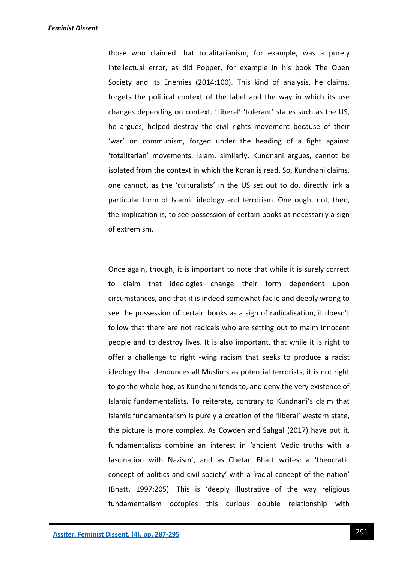those who claimed that totalitarianism, for example, was a purely intellectual error, as did Popper, for example in his book The Open Society and its Enemies (2014:100). This kind of analysis, he claims, forgets the political context of the label and the way in which its use changes depending on context. 'Liberal' 'tolerant' states such as the US, he argues, helped destroy the civil rights movement because of their 'war' on communism, forged under the heading of a fight against 'totalitarian' movements. Islam, similarly, Kundnani argues, cannot be isolated from the context in which the Koran is read. So, Kundnani claims, one cannot, as the 'culturalists' in the US set out to do, directly link a particular form of Islamic ideology and terrorism. One ought not, then, the implication is, to see possession of certain books as necessarily a sign of extremism.

Once again, though, it is important to note that while it is surely correct to claim that ideologies change their form dependent upon circumstances, and that it is indeed somewhat facile and deeply wrong to see the possession of certain books as a sign of radicalisation, it doesn't follow that there are not radicals who are setting out to maim innocent people and to destroy lives. It is also important, that while it is right to offer a challenge to right -wing racism that seeks to produce a racist ideology that denounces all Muslims as potential terrorists, it is not right to go the whole hog, as Kundnani tends to, and deny the very existence of Islamic fundamentalists. To reiterate, contrary to Kundnani's claim that Islamic fundamentalism is purely a creation of the 'liberal' western state, the picture is more complex. As Cowden and Sahgal (2017) have put it, fundamentalists combine an interest in 'ancient Vedic truths with a fascination with Nazism', and as Chetan Bhatt writes: a 'theocratic concept of politics and civil society' with a 'racial concept of the nation' (Bhatt, 1997:205). This is 'deeply illustrative of the way religious fundamentalism occupies this curious double relationship with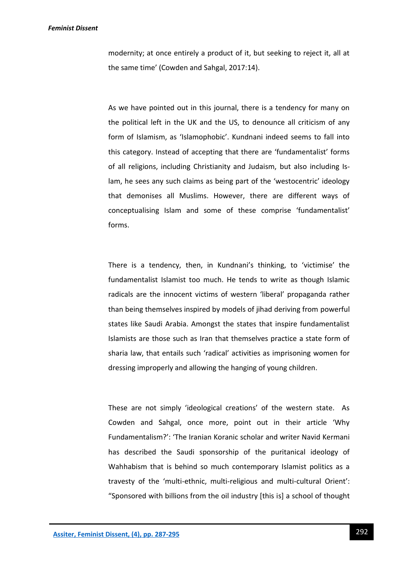modernity; at once entirely a product of it, but seeking to reject it, all at the same time' (Cowden and Sahgal, 2017:14).

As we have pointed out in this journal, there is a tendency for many on the political left in the UK and the US, to denounce all criticism of any form of Islamism, as 'Islamophobic'. Kundnani indeed seems to fall into this category. Instead of accepting that there are 'fundamentalist' forms of all religions, including Christianity and Judaism, but also including Islam, he sees any such claims as being part of the 'westocentric' ideology that demonises all Muslims. However, there are different ways of conceptualising Islam and some of these comprise 'fundamentalist' forms.

There is a tendency, then, in Kundnani's thinking, to 'victimise' the fundamentalist Islamist too much. He tends to write as though Islamic radicals are the innocent victims of western 'liberal' propaganda rather than being themselves inspired by models of jihad deriving from powerful states like Saudi Arabia. Amongst the states that inspire fundamentalist Islamists are those such as Iran that themselves practice a state form of sharia law, that entails such 'radical' activities as imprisoning women for dressing improperly and allowing the hanging of young children.

These are not simply 'ideological creations' of the western state. As Cowden and Sahgal, once more, point out in their article 'Why Fundamentalism?': 'The Iranian Koranic scholar and writer Navid Kermani has described the Saudi sponsorship of the puritanical ideology of Wahhabism that is behind so much contemporary Islamist politics as a travesty of the 'multi-ethnic, multi-religious and multi-cultural Orient': "Sponsored with billions from the oil industry [this is] a school of thought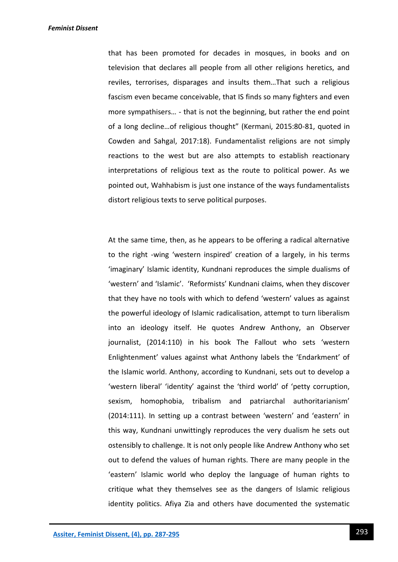that has been promoted for decades in mosques, in books and on television that declares all people from all other religions heretics, and reviles, terrorises, disparages and insults them…That such a religious fascism even became conceivable, that IS finds so many fighters and even more sympathisers… - that is not the beginning, but rather the end point of a long decline…of religious thought" (Kermani, 2015:80-81, quoted in Cowden and Sahgal, 2017:18). Fundamentalist religions are not simply reactions to the west but are also attempts to establish reactionary interpretations of religious text as the route to political power. As we pointed out, Wahhabism is just one instance of the ways fundamentalists distort religious texts to serve political purposes.

At the same time, then, as he appears to be offering a radical alternative to the right -wing 'western inspired' creation of a largely, in his terms 'imaginary' Islamic identity, Kundnani reproduces the simple dualisms of 'western' and 'Islamic'. 'Reformists' Kundnani claims, when they discover that they have no tools with which to defend 'western' values as against the powerful ideology of Islamic radicalisation, attempt to turn liberalism into an ideology itself. He quotes Andrew Anthony, an Observer journalist, (2014:110) in his book The Fallout who sets 'western Enlightenment' values against what Anthony labels the 'Endarkment' of the Islamic world. Anthony, according to Kundnani, sets out to develop a 'western liberal' 'identity' against the 'third world' of 'petty corruption, sexism, homophobia, tribalism and patriarchal authoritarianism' (2014:111). In setting up a contrast between 'western' and 'eastern' in this way, Kundnani unwittingly reproduces the very dualism he sets out ostensibly to challenge. It is not only people like Andrew Anthony who set out to defend the values of human rights. There are many people in the 'eastern' Islamic world who deploy the language of human rights to critique what they themselves see as the dangers of Islamic religious identity politics. Afiya Zia and others have documented the systematic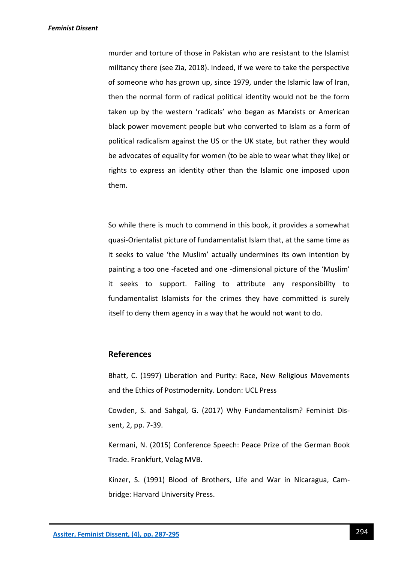murder and torture of those in Pakistan who are resistant to the Islamist militancy there (see Zia, 2018). Indeed, if we were to take the perspective of someone who has grown up, since 1979, under the Islamic law of Iran, then the normal form of radical political identity would not be the form taken up by the western 'radicals' who began as Marxists or American black power movement people but who converted to Islam as a form of political radicalism against the US or the UK state, but rather they would be advocates of equality for women (to be able to wear what they like) or rights to express an identity other than the Islamic one imposed upon them.

So while there is much to commend in this book, it provides a somewhat quasi-Orientalist picture of fundamentalist Islam that, at the same time as it seeks to value 'the Muslim' actually undermines its own intention by painting a too one -faceted and one -dimensional picture of the 'Muslim' it seeks to support. Failing to attribute any responsibility to fundamentalist Islamists for the crimes they have committed is surely itself to deny them agency in a way that he would not want to do.

## **References**

Bhatt, C. (1997) Liberation and Purity: Race, New Religious Movements and the Ethics of Postmodernity. London: UCL Press

Cowden, S. and Sahgal, G. (2017) Why Fundamentalism? Feminist Dissent, 2, pp. 7-39.

Kermani, N. (2015) Conference Speech: Peace Prize of the German Book Trade. Frankfurt, Velag MVB.

Kinzer, S. (1991) Blood of Brothers, Life and War in Nicaragua, Cambridge: Harvard University Press.